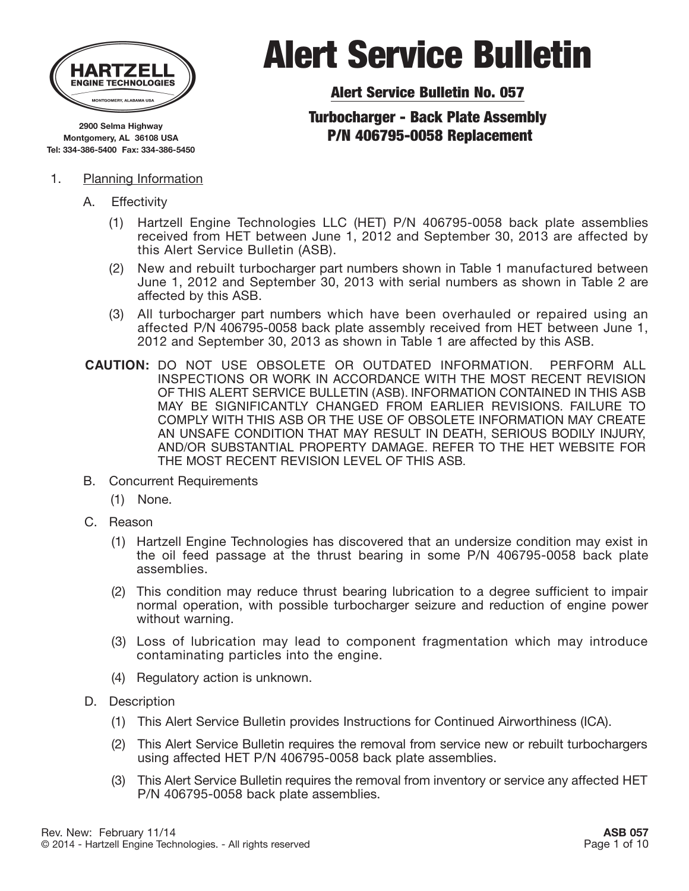

**2900 Selma Highway Montgomery, AL 36108 USA Tel: 334-386-5400 Fax: 334-386-5450**

### 1. Planning Information

A. Effectivity

# Alert Service Bulletin

Alert Service Bulletin No. 057

Turbocharger - Back Plate Assembly P/N 406795-0058 Replacement

- (1) Hartzell Engine Technologies LLC (HET) P/N 406795-0058 back plate assemblies received from HET between June 1, 2012 and September 30, 2013 are affected by this Alert Service Bulletin (ASB).
- (2) New and rebuilt turbocharger part numbers shown in Table 1 manufactured between June 1, 2012 and September 30, 2013 with serial numbers as shown in Table 2 are affected by this ASB.
- (3) All turbocharger part numbers which have been overhauled or repaired using an affected P/N 406795-0058 back plate assembly received from HET between June 1, 2012 and September 30, 2013 as shown in Table 1 are affected by this ASB.
- **CAUTION:** DO NOT USE OBSOLETE OR OUTDATED INFORMATION. PERFORM ALL INSPECTIONS OR WORK IN ACCORDANCE WITH THE MOST RECENT REVISION OF THIS ALERT SERVICE BULLETIN (ASB). INFORMATION CONTAINED IN THIS ASB MAY BE SIGNIFICANTLY CHANGED FROM EARLIER REVISIONS. FAILURE TO COMPLY WITH THIS ASB OR THE USE OF OBSOLETE INFORMATION MAY CREATE AN UNSAFE CONDITION THAT MAY RESULT IN DEATH, SERIOUS BODILY INJURY, AND/OR SUBSTANTIAL PROPERTY DAMAGE. REFER TO THE HET WEBSITE FOR THE MOST RECENT REVISION LEVEL OF THIS ASB.
- B. Concurrent Requirements
	- (1) None.
- C. Reason
	- (1) Hartzell Engine Technologies has discovered that an undersize condition may exist in the oil feed passage at the thrust bearing in some P/N 406795-0058 back plate assemblies.
	- (2) This condition may reduce thrust bearing lubrication to a degree sufficient to impair normal operation, with possible turbocharger seizure and reduction of engine power without warning.
	- (3) Loss of lubrication may lead to component fragmentation which may introduce contaminating particles into the engine.
	- (4) Regulatory action is unknown.
- D. Description
	- (1) This Alert Service Bulletin provides Instructions for Continued Airworthiness (ICA).
	- (2) This Alert Service Bulletin requires the removal from service new or rebuilt turbochargers using affected HET P/N 406795-0058 back plate assemblies.
	- (3) This Alert Service Bulletin requires the removal from inventory or service any affected HET P/N 406795-0058 back plate assemblies.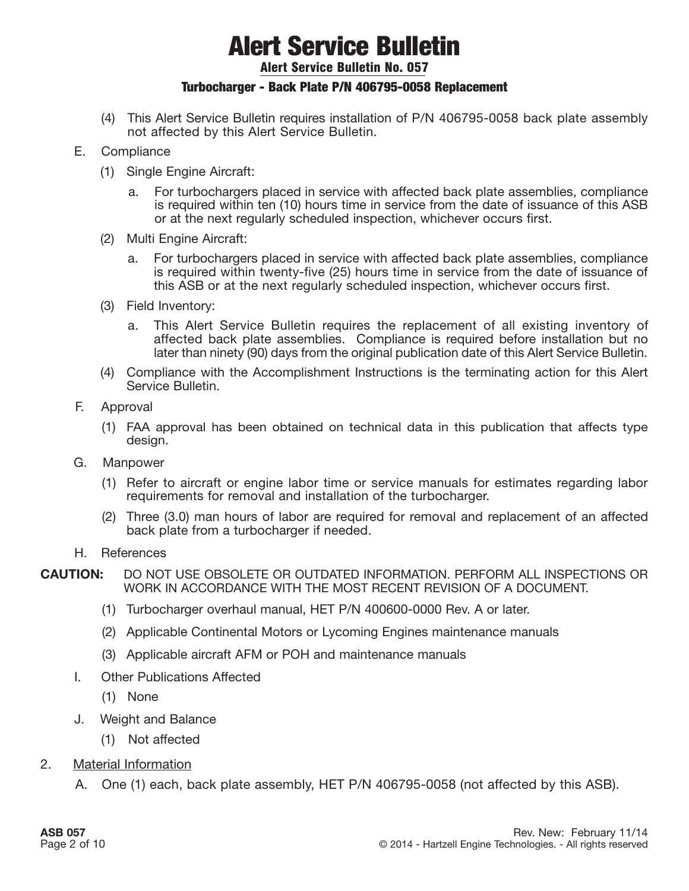Alert Service Bulletin No. 057

## Turbocharger - Back Plate P/N 406795-0058 Replacement

(4) This Alert Service Bulletin requires installation of P/N 406795-0058 back plate assembly not affected by this Alert Service Bulletin.

## E. Compliance

- (1) Single Engine Aircraft:
	- a. For turbochargers placed in service with affected back plate assemblies, compliance is required within ten (10) hours time in service from the date of issuance of this ASB or at the next regularly scheduled inspection, whichever occurs first.
- (2) Multi Engine Aircraft:
	- a. For turbochargers placed in service with affected back plate assemblies, compliance is required within twenty-five (25) hours time in service from the date of issuance of this ASB or at the next regularly scheduled inspection, whichever occurs first.
- (3) Field Inventory:
	- a. This Alert Service Bulletin requires the replacement of all existing inventory of affected back plate assemblies. Compliance is required before installation but no later than ninety (90) days from the original publication date of this Alert Service Bulletin.
- (4) Compliance with the Accomplishment Instructions is the terminating action for this Alert Service Bulletin.
- F. Approval
	- (1) FAA approval has been obtained on technical data in this publication that affects type design.
- G. Manpower
	- (1) Refer to aircraft or engine labor time or service manuals for estimates regarding labor requirements for removal and installation of the turbocharger.
	- (2) Three (3.0) man hours of labor are required for removal and replacement of an affected back plate from a turbocharger if needed.
- H. References
- **CAUTION:** DO NOT USE OBSOLETE OR OUTDATED INFORMATION. PERFORM ALL INSPECTIONS OR WORK IN ACCORDANCE WITH THE MOST RECENT REVISION OF A DOCUMENT.
	- (1) Turbocharger overhaul manual, HET P/N 400600-0000 Rev. A or later.
	- (2) Applicable Continental Motors or Lycoming Engines maintenance manuals
	- (3) Applicable aircraft AFM or POH and maintenance manuals
	- I. Other Publications Affected
		- (1) None
	- J. Weight and Balance
		- (1) Not affected
- 2. Material Information
	- A. One (1) each, back plate assembly, HET P/N 406795-0058 (not affected by this ASB).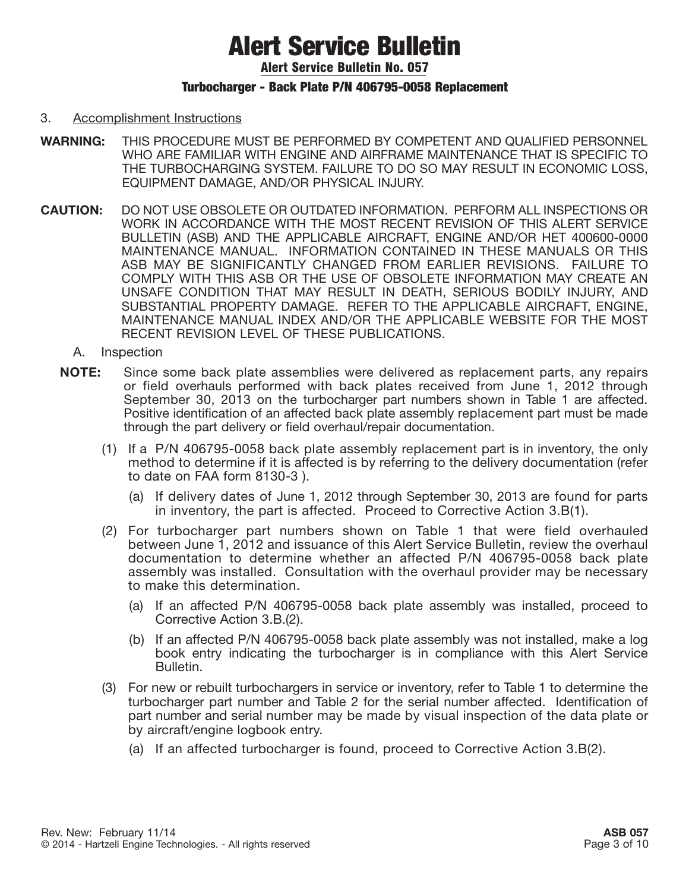Alert Service Bulletin No. 057

## Turbocharger - Back Plate P/N 406795-0058 Replacement

### 3. Accomplishment Instructions

- **WARNING:** THIS PROCEDURE MUST BE PERFORMED BY COMPETENT AND QUALIFIED PERSONNEL WHO ARE FAMILIAR WITH ENGINE AND AIRFRAME MAINTENANCE THAT IS SPECIFIC TO THE TURBOCHARGING SYSTEM. FAILURE TO DO SO MAY RESULT IN ECONOMIC LOSS, EQUIPMENT DAMAGE, AND/OR PHYSICAL INJURY.
- **CAUTION:** DO NOT USE OBSOLETE OR OUTDATED INFORMATION. PERFORM ALL INSPECTIONS OR WORK IN ACCORDANCE WITH THE MOST RECENT REVISION OF THIS ALERT SERVICE BULLETIN (ASB) AND THE APPLICABLE AIRCRAFT, ENGINE AND/OR HET 400600-0000 MAINTENANCE MANUAL. INFORMATION CONTAINED IN THESE MANUALS OR THIS ASB MAY BE SIGNIFICANTLY CHANGED FROM EARLIER REVISIONS. FAILURE TO COMPLY WITH THIS ASB OR THE USE OF OBSOLETE INFORMATION MAY CREATE AN UNSAFE CONDITION THAT MAY RESULT IN DEATH, SERIOUS BODILY INJURY, AND SUBSTANTIAL PROPERTY DAMAGE. REFER TO THE APPLICABLE AIRCRAFT, ENGINE, MAINTENANCE MANUAL INDEX AND/OR THE APPLICABLE WEBSITE FOR THE MOST RECENT REVISION LEVEL OF THESE PUBLICATIONS.
	- A. Inspection
	- **NOTE:** Since some back plate assemblies were delivered as replacement parts, any repairs or field overhauls performed with back plates received from June 1, 2012 through September 30, 2013 on the turbocharger part numbers shown in Table 1 are affected. Positive identification of an affected back plate assembly replacement part must be made through the part delivery or field overhaul/repair documentation.
		- (1) If a P/N 406795-0058 back plate assembly replacement part is in inventory, the only method to determine if it is affected is by referring to the delivery documentation (refer to date on FAA form 8130-3 ).
			- (a) If delivery dates of June 1, 2012 through September 30, 2013 are found for parts in inventory, the part is affected. Proceed to Corrective Action 3.B(1).
		- (2) For turbocharger part numbers shown on Table 1 that were field overhauled between June 1, 2012 and issuance of this Alert Service Bulletin, review the overhaul documentation to determine whether an affected P/N 406795-0058 back plate assembly was installed. Consultation with the overhaul provider may be necessary to make this determination.
			- (a) If an affected P/N 406795-0058 back plate assembly was installed, proceed to Corrective Action 3.B.(2).
			- (b) If an affected P/N 406795-0058 back plate assembly was not installed, make a log book entry indicating the turbocharger is in compliance with this Alert Service Bulletin.
		- (3) For new or rebuilt turbochargers in service or inventory, refer to Table 1 to determine the turbocharger part number and Table 2 for the serial number affected. Identification of part number and serial number may be made by visual inspection of the data plate or by aircraft/engine logbook entry.
			- (a) If an affected turbocharger is found, proceed to Corrective Action 3.B(2).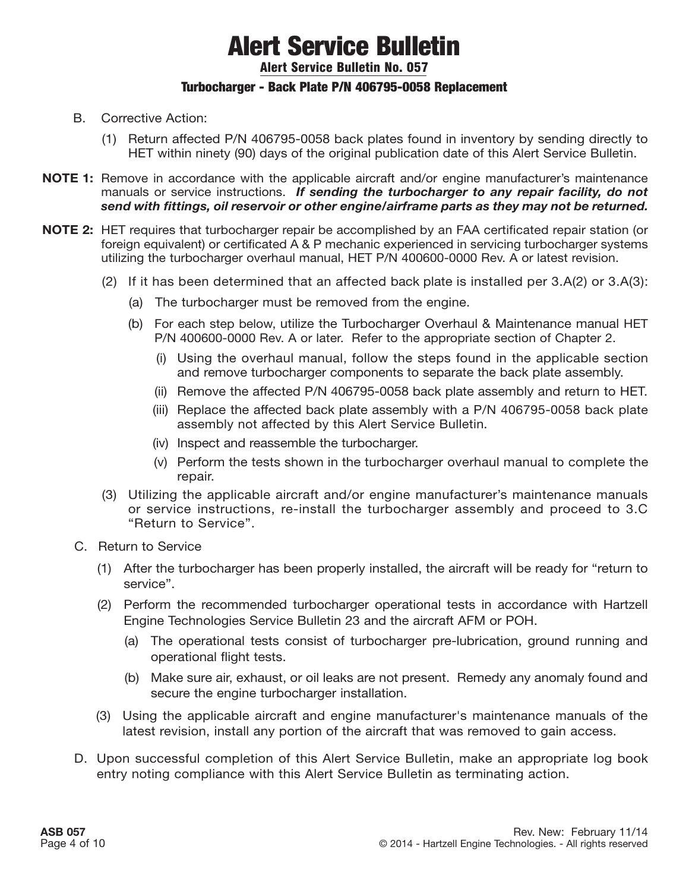Alert Service Bulletin No. 057

## Turbocharger - Back Plate P/N 406795-0058 Replacement

- B. Corrective Action:
	- (1) Return affected P/N 406795-0058 back plates found in inventory by sending directly to HET within ninety (90) days of the original publication date of this Alert Service Bulletin.
- **NOTE 1:** Remove in accordance with the applicable aircraft and/or engine manufacturer's maintenance manuals or service instructions. *If sending the turbocharger to any repair facility, do not send with fittings, oil reservoir or other engine/airframe parts as they may not be returned.*
- **NOTE 2:** HET requires that turbocharger repair be accomplished by an FAA certificated repair station (or foreign equivalent) or certificated A & P mechanic experienced in servicing turbocharger systems utilizing the turbocharger overhaul manual, HET P/N 400600-0000 Rev. A or latest revision.
	- (2) If it has been determined that an affected back plate is installed per  $3.A(2)$  or  $3.A(3)$ :
		- (a) The turbocharger must be removed from the engine.
		- (b) For each step below, utilize the Turbocharger Overhaul & Maintenance manual HET P/N 400600-0000 Rev. A or later. Refer to the appropriate section of Chapter 2.
			- (i) Using the overhaul manual, follow the steps found in the applicable section and remove turbocharger components to separate the back plate assembly.
			- (ii) Remove the affected P/N 406795-0058 back plate assembly and return to HET.
			- (iii) Replace the affected back plate assembly with a P/N 406795-0058 back plate assembly not affected by this Alert Service Bulletin.
			- (iv) Inspect and reassemble the turbocharger.
			- (v) Perform the tests shown in the turbocharger overhaul manual to complete the repair.
	- (3) Utilizing the applicable aircraft and/or engine manufacturer's maintenance manuals or service instructions, re-install the turbocharger assembly and proceed to 3.C "Return to Service".
	- C. Return to Service
		- (1) After the turbocharger has been properly installed, the aircraft will be ready for "return to service".
		- (2) Perform the recommended turbocharger operational tests in accordance with Hartzell Engine Technologies Service Bulletin 23 and the aircraft AFM or POH.
			- (a) The operational tests consist of turbocharger pre-lubrication, ground running and operational flight tests.
			- (b) Make sure air, exhaust, or oil leaks are not present. Remedy any anomaly found and secure the engine turbocharger installation.
		- (3) Using the applicable aircraft and engine manufacturer's maintenance manuals of the latest revision, install any portion of the aircraft that was removed to gain access.
	- D. Upon successful completion of this Alert Service Bulletin, make an appropriate log book entry noting compliance with this Alert Service Bulletin as terminating action.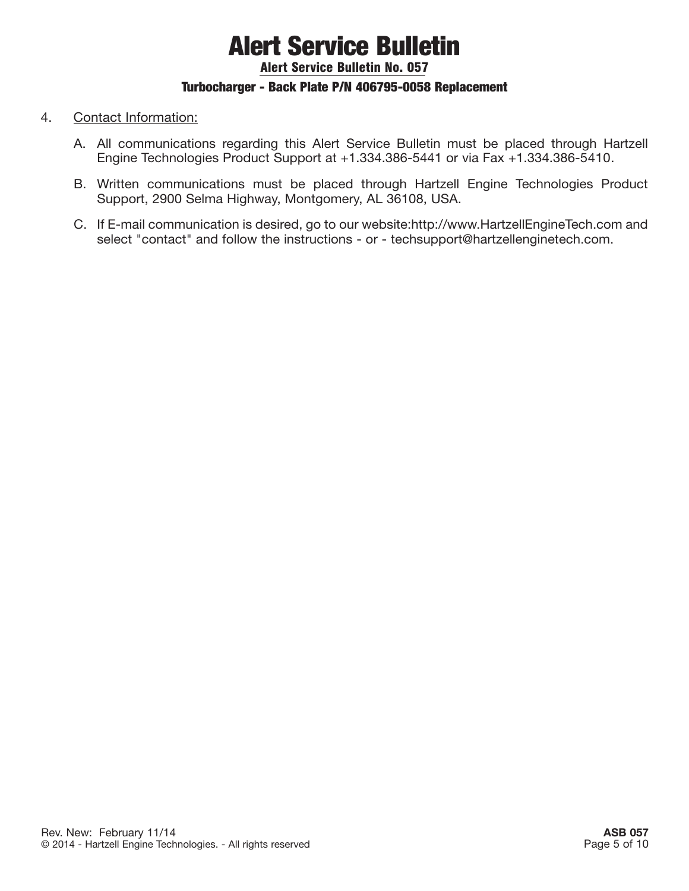Alert Service Bulletin No. 057

## Turbocharger - Back Plate P/N 406795-0058 Replacement

### 4. Contact Information:

- A. All communications regarding this Alert Service Bulletin must be placed through Hartzell Engine Technologies Product Support at +1.334.386-5441 or via Fax +1.334.386-5410.
- B. Written communications must be placed through Hartzell Engine Technologies Product Support, 2900 Selma Highway, Montgomery, AL 36108, USA.
- C. If E-mail communication is desired, go to our website:http://www.HartzellEngineTech.com and select "contact" and follow the instructions - or - techsupport@hartzellenginetech.com.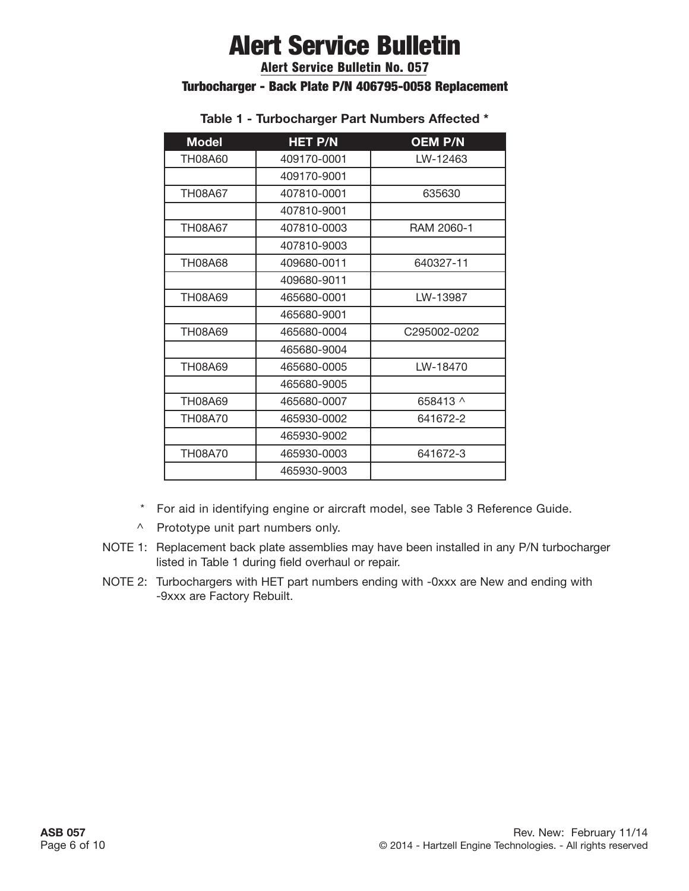Alert Service Bulletin No. 057

## Turbocharger - Back Plate P/N 406795-0058 Replacement

| <b>HET P/N</b> | <b>OEM P/N</b> |
|----------------|----------------|
| 409170-0001    | LW-12463       |
| 409170-9001    |                |
| 407810-0001    | 635630         |
| 407810-9001    |                |
| 407810-0003    | RAM 2060-1     |
| 407810-9003    |                |
| 409680-0011    | 640327-11      |
| 409680-9011    |                |
| 465680-0001    | LW-13987       |
| 465680-9001    |                |
| 465680-0004    | C295002-0202   |
| 465680-9004    |                |
| 465680-0005    | LW-18470       |
| 465680-9005    |                |
| 465680-0007    | 658413 ^       |
| 465930-0002    | 641672-2       |
| 465930-9002    |                |
| 465930-0003    | 641672-3       |
| 465930-9003    |                |
|                |                |

## **Table 1 - Turbocharger Part Numbers Affected \***

- \* For aid in identifying engine or aircraft model, see Table 3 Reference Guide.
- ^ Prototype unit part numbers only.
- NOTE 1: Replacement back plate assemblies may have been installed in any P/N turbocharger listed in Table 1 during field overhaul or repair.
- NOTE 2: Turbochargers with HET part numbers ending with -0xxx are New and ending with -9xxx are Factory Rebuilt.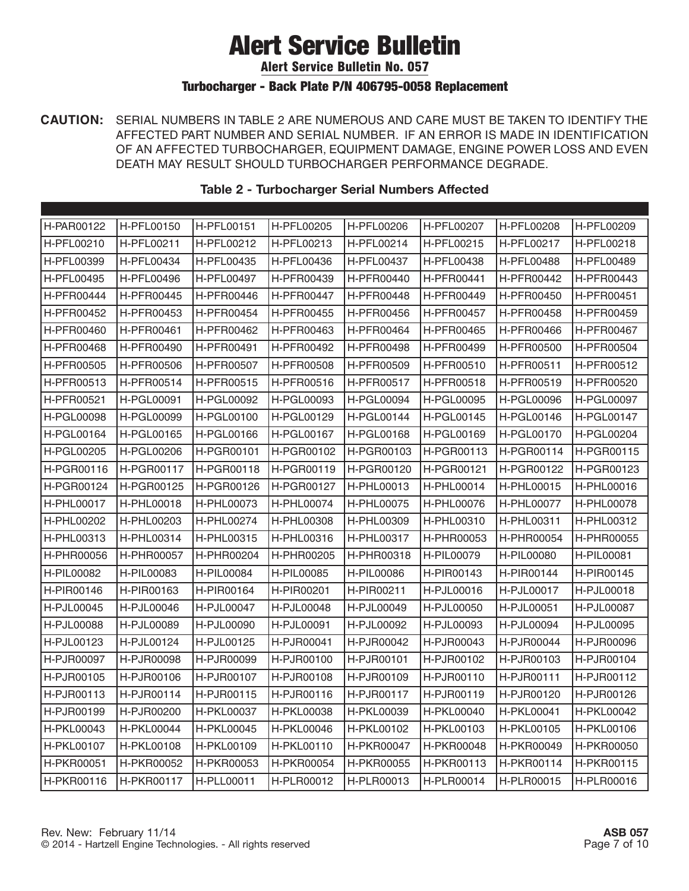Alert Service Bulletin No. 057

## Turbocharger - Back Plate P/N 406795-0058 Replacement

**CAUTION:** SERIAL NUMBERS IN TABLE 2 ARE NUMEROUS AND CARE MUST BE TAKEN TO IDENTIFY THE AFFECTED PART NUMBER AND SERIAL NUMBER. IF AN ERROR IS MADE IN IDENTIFICATION OF AN AFFECTED TURBOCHARGER, EQUIPMENT DAMAGE, ENGINE POWER LOSS AND EVEN DEATH MAY RESULT SHOULD TURBOCHARGER PERFORMANCE DEGRADE.

| H-PAR00122        | H-PFL00150        | H-PFL00151        | H-PFL00205        | H-PFL00206        | H-PFL00207        | H-PFL00208        | H-PFL00209        |
|-------------------|-------------------|-------------------|-------------------|-------------------|-------------------|-------------------|-------------------|
| H-PFL00210        | H-PFL00211        | H-PFL00212        | H-PFL00213        | H-PFL00214        | H-PFL00215        | H-PFL00217        | H-PFL00218        |
| H-PFL00399        | <b>H-PFL00434</b> | H-PFL00435        | H-PFL00436        | <b>H-PFL00437</b> | <b>H-PFL00438</b> | <b>H-PFL00488</b> | <b>H-PFL00489</b> |
| H-PFL00495        | H-PFL00496        | H-PFL00497        | H-PFR00439        | <b>H-PFR00440</b> | H-PFR00441        | <b>H-PFR00442</b> | H-PFR00443        |
| <b>H-PFR00444</b> | H-PFR00445        | <b>H-PFR00446</b> | <b>H-PFR00447</b> | <b>H-PFR00448</b> | H-PFR00449        | <b>H-PFR00450</b> | H-PFR00451        |
| H-PFR00452        | H-PFR00453        | H-PFR00454        | H-PFR00455        | H-PFR00456        | H-PFR00457        | <b>H-PFR00458</b> | H-PFR00459        |
| H-PFR00460        | H-PFR00461        | H-PFR00462        | H-PFR00463        | H-PFR00464        | H-PFR00465        | <b>H-PFR00466</b> | H-PFR00467        |
| H-PFR00468        | <b>H-PFR00490</b> | H-PFR00491        | H-PFR00492        | H-PFR00498        | H-PFR00499        | H-PFR00500        | H-PFR00504        |
| H-PFR00505        | H-PFR00506        | H-PFR00507        | H-PFR00508        | H-PFR00509        | H-PFR00510        | H-PFR00511        | H-PFR00512        |
| H-PFR00513        | H-PFR00514        | H-PFR00515        | H-PFR00516        | H-PFR00517        | H-PFR00518        | H-PFR00519        | H-PFR00520        |
| H-PFR00521        | <b>H-PGL00091</b> | <b>H-PGL00092</b> | H-PGL00093        | H-PGL00094        | <b>H-PGL00095</b> | <b>H-PGL00096</b> | <b>H-PGL00097</b> |
| <b>H-PGL00098</b> | H-PGL00099        | <b>H-PGL00100</b> | H-PGL00129        | <b>H-PGL00144</b> | H-PGL00145        | <b>H-PGL00146</b> | H-PGL00147        |
| <b>H-PGL00164</b> | <b>H-PGL00165</b> | <b>H-PGL00166</b> | <b>H-PGL00167</b> | <b>H-PGL00168</b> | <b>H-PGL00169</b> | <b>H-PGL00170</b> | <b>H-PGL00204</b> |
| H-PGL00205        | <b>H-PGL00206</b> | H-PGR00101        | H-PGR00102        | H-PGR00103        | H-PGR00113        | H-PGR00114        | H-PGR00115        |
| H-PGR00116        | H-PGR00117        | H-PGR00118        | H-PGR00119        | H-PGR00120        | H-PGR00121        | H-PGR00122        | H-PGR00123        |
| H-PGR00124        | H-PGR00125        | H-PGR00126        | H-PGR00127        | H-PHL00013        | H-PHL00014        | H-PHL00015        | H-PHL00016        |
| H-PHL00017        | H-PHL00018        | H-PHL00073        | H-PHL00074        | H-PHL00075        | <b>H-PHL00076</b> | <b>H-PHL00077</b> | H-PHL00078        |
| H-PHL00202        | H-PHL00203        | H-PHL00274        | H-PHL00308        | H-PHL00309        | H-PHL00310        | H-PHL00311        | H-PHL00312        |
| H-PHL00313        | H-PHL00314        | H-PHL00315        | H-PHL00316        | H-PHL00317        | H-PHR00053        | H-PHR00054        | H-PHR00055        |
| H-PHR00056        | <b>H-PHR00057</b> | H-PHR00204        | H-PHR00205        | H-PHR00318        | <b>H-PIL00079</b> | <b>H-PIL00080</b> | <b>H-PIL00081</b> |
| <b>H-PIL00082</b> | H-PIL00083        | <b>H-PIL00084</b> | <b>H-PIL00085</b> | <b>H-PIL00086</b> | H-PIR00143        | <b>H-PIR00144</b> | H-PIR00145        |
| H-PIR00146        | H-PIR00163        | H-PIR00164        | H-PIR00201        | H-PIR00211        | <b>H-PJL00016</b> | <b>H-PJL00017</b> | <b>H-PJL00018</b> |
| <b>H-PJL00045</b> | <b>H-PJL00046</b> | <b>H-PJL00047</b> | <b>H-PJL00048</b> | <b>H-PJL00049</b> | <b>H-PJL00050</b> | <b>H-PJL00051</b> | <b>H-PJL00087</b> |
| <b>H-PJL00088</b> | <b>H-PJL00089</b> | <b>H-PJL00090</b> | <b>H-PJL00091</b> | H-PJL00092        | H-PJL00093        | <b>H-PJL00094</b> | <b>H-PJL00095</b> |
| H-PJL00123        | H-PJL00124        | H-PJL00125        | H-PJR00041        | H-PJR00042        | H-PJR00043        | H-PJR00044        | H-PJR00096        |
| H-PJR00097        | <b>H-PJR00098</b> | H-PJR00099        | H-PJR00100        | H-PJR00101        | H-PJR00102        | H-PJR00103        | H-PJR00104        |
| H-PJR00105        | H-PJR00106        | H-PJR00107        | H-PJR00108        | H-PJR00109        | H-PJR00110        | H-PJR00111        | H-PJR00112        |
| H-PJR00113        | H-PJR00114        | H-PJR00115        | H-PJR00116        | H-PJR00117        | H-PJR00119        | H-PJR00120        | H-PJR00126        |
| H-PJR00199        | H-PJR00200        | <b>H-PKL00037</b> | H-PKL00038        | H-PKL00039        | <b>H-PKL00040</b> | <b>H-PKL00041</b> | <b>H-PKL00042</b> |
| <b>H-PKL00043</b> | <b>H-PKL00044</b> | <b>H-PKL00045</b> | <b>H-PKL00046</b> | H-PKL00102        | H-PKL00103        | <b>H-PKL00105</b> | <b>H-PKL00106</b> |
| <b>H-PKL00107</b> | <b>H-PKL00108</b> | H-PKL00109        | H-PKL00110        | H-PKR00047        | <b>H-PKR00048</b> | H-PKR00049        | H-PKR00050        |
| H-PKR00051        | H-PKR00052        | H-PKR00053        | H-PKR00054        | H-PKR00055        | H-PKR00113        | H-PKR00114        | H-PKR00115        |
| H-PKR00116        | H-PKR00117        | <b>H-PLL00011</b> | H-PLR00012        | H-PLR00013        | H-PLR00014        | H-PLR00015        | <b>H-PLR00016</b> |

### **Table 2 - Turbocharger Serial Numbers Affected**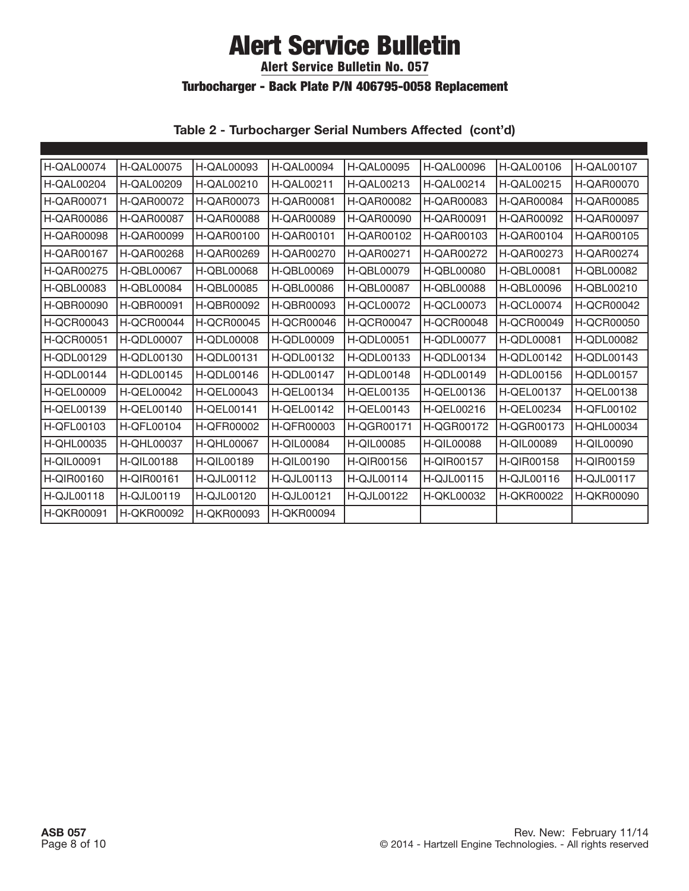Alert Service Bulletin No. 057

## Turbocharger - Back Plate P/N 406795-0058 Replacement

## **Table 2 - Turbocharger Serial Numbers Affected (cont'd)**

| <b>H-QAL00074</b> | <b>H-QAL00075</b> | <b>H-QAL00093</b> | <b>H-OAL00094</b> | <b>H-QAL00095</b> | <b>H-QAL00096</b> | <b>H-OAL00106</b> | <b>H-OAL00107</b> |
|-------------------|-------------------|-------------------|-------------------|-------------------|-------------------|-------------------|-------------------|
| <b>H-QAL00204</b> | <b>H-QAL00209</b> | <b>H-QAL00210</b> | <b>H-QAL00211</b> | <b>H-QAL00213</b> | <b>H-QAL00214</b> | <b>H-QAL00215</b> | <b>H-QAR00070</b> |
| <b>H-QAR00071</b> | H-QAR00072        | H-QAR00073        | <b>H-QAR00081</b> | H-QAR00082        | H-QAR00083        | H-QAR00084        | H-QAR00085        |
| <b>H-QAR00086</b> | <b>H-QAR00087</b> | <b>H-QAR00088</b> | <b>H-QAR00089</b> | <b>H-QAR00090</b> | <b>H-QAR00091</b> | H-QAR00092        | <b>H-QAR00097</b> |
| <b>H-QAR00098</b> | <b>H-QAR00099</b> | <b>H-QAR00100</b> | <b>H-QAR00101</b> | H-QAR00102        | <b>H-QAR00103</b> | H-QAR00104        | <b>H-QAR00105</b> |
| H-QAR00167        | H-QAR00268        | <b>H-QAR00269</b> | H-QAR00270        | H-QAR00271        | <b>H-QAR00272</b> | H-QAR00273        | H-QAR00274        |
| <b>H-QAR00275</b> | <b>H-QBL00067</b> | <b>H-QBL00068</b> | <b>H-QBL00069</b> | <b>H-QBL00079</b> | <b>H-QBL00080</b> | <b>H-QBL00081</b> | <b>H-QBL00082</b> |
| H-QBL00083        | <b>H-OBL00084</b> | <b>H-QBL00085</b> | <b>H-OBL00086</b> | <b>H-QBL00087</b> | <b>H-QBL00088</b> | <b>H-OBL00096</b> | H-QBL00210        |
| H-QBR00090        | H-QBR00091        | H-QBR00092        | H-QBR00093        | <b>H-QCL00072</b> | <b>H-QCL00073</b> | <b>H-QCL00074</b> | <b>H-QCR00042</b> |
| <b>H-QCR00043</b> | <b>H-QCR00044</b> | <b>H-QCR00045</b> | <b>H-QCR00046</b> | <b>H-QCR00047</b> | <b>H-QCR00048</b> | <b>H-QCR00049</b> | <b>H-QCR00050</b> |
| <b>H-QCR00051</b> | <b>H-QDL00007</b> | <b>H-QDL00008</b> | <b>H-QDL00009</b> | <b>H-QDL00051</b> | <b>H-QDL00077</b> | <b>H-QDL00081</b> | <b>H-QDL00082</b> |
| H-QDL00129        | H-QDL00130        | <b>H-QDL00131</b> | H-QDL00132        | <b>H-QDL00133</b> | <b>H-QDL00134</b> | <b>H-QDL00142</b> | <b>H-QDL00143</b> |
| <b>H-QDL00144</b> | <b>H-QDL00145</b> | <b>H-ODL00146</b> | <b>H-QDL00147</b> | <b>H-QDL00148</b> | H-QDL00149        | H-QDL00156        | <b>H-QDL00157</b> |
| <b>H-QEL00009</b> | <b>H-QEL00042</b> | <b>H-QEL00043</b> | <b>H-QEL00134</b> | <b>H-QEL00135</b> | <b>H-QEL00136</b> | <b>H-QEL00137</b> | <b>H-QEL00138</b> |
| H-QEL00139        | <b>H-QEL00140</b> | <b>H-QEL00141</b> | <b>H-QEL00142</b> | <b>H-QEL00143</b> | <b>H-QEL00216</b> | <b>H-QEL00234</b> | H-QFL00102        |
| <b>H-QFL00103</b> | <b>H-QFL00104</b> | <b>H-QFR00002</b> | H-QFR00003        | <b>H-QGR00171</b> | <b>H-QGR00172</b> | <b>H-QGR00173</b> | <b>H-QHL00034</b> |
| <b>H-OHL00035</b> | H-QHL00037        | <b>H-OHL00067</b> | <b>H-OIL00084</b> | <b>H-OIL00085</b> | <b>H-OIL00088</b> | <b>H-QIL00089</b> | <b>H-QIL00090</b> |
| <b>H-QIL00091</b> | <b>H-QIL00188</b> | <b>H-QIL00189</b> | <b>H-QIL00190</b> | <b>H-QIR00156</b> | <b>H-QIR00157</b> | <b>H-QIR00158</b> | H-QIR00159        |
| <b>H-QIR00160</b> | <b>H-QIR00161</b> | <b>H-QJL00112</b> | <b>H-QJL00113</b> | <b>H-QJL00114</b> | <b>H-QJL00115</b> | <b>H-QJL00116</b> | <b>H-QJL00117</b> |
| H-QJL00118        | <b>H-QJL00119</b> | <b>H-QJL00120</b> | <b>H-QJL00121</b> | <b>H-QJL00122</b> | <b>H-QKL00032</b> | <b>H-QKR00022</b> | H-QKR00090        |
| <b>H-QKR00091</b> | <b>H-OKR00092</b> | H-QKR00093        | H-OKR00094        |                   |                   |                   |                   |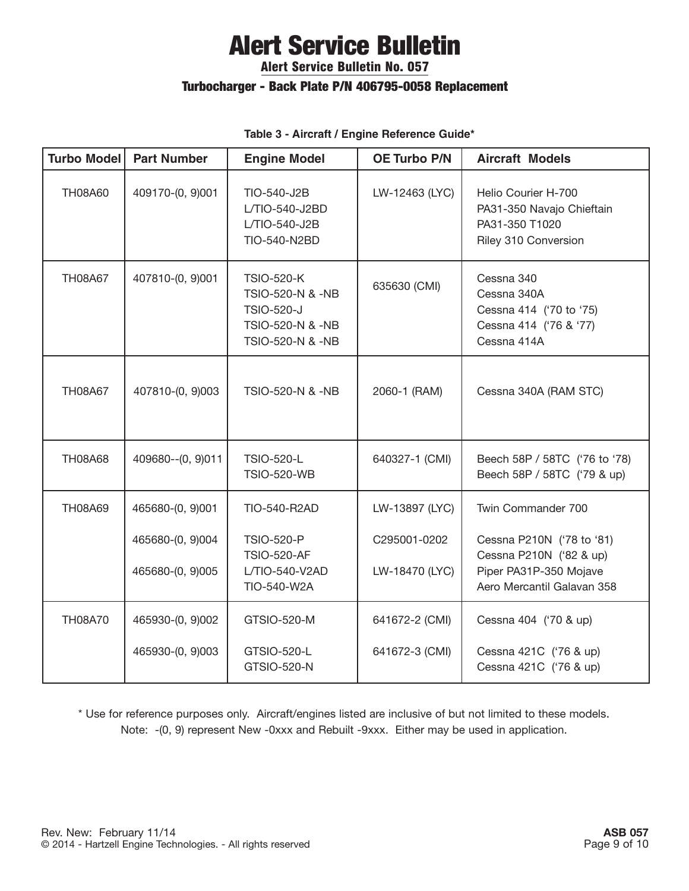Alert Service Bulletin No. 057

## Turbocharger - Back Plate P/N 406795-0058 Replacement

| <b>Turbo Model</b> | <b>Part Number</b>                   | <b>Engine Model</b>                                                                                | <b>OE Turbo P/N</b>            | <b>Aircraft Models</b>                                                                                       |
|--------------------|--------------------------------------|----------------------------------------------------------------------------------------------------|--------------------------------|--------------------------------------------------------------------------------------------------------------|
| <b>TH08A60</b>     | 409170-(0, 9)001                     | TIO-540-J2B<br>L/TIO-540-J2BD<br>L/TIO-540-J2B<br>TIO-540-N2BD                                     | LW-12463 (LYC)                 | Helio Courier H-700<br>PA31-350 Navajo Chieftain<br>PA31-350 T1020<br>Riley 310 Conversion                   |
| <b>TH08A67</b>     | 407810-(0, 9)001                     | <b>TSIO-520-K</b><br>TSIO-520-N & -NB<br><b>TSIO-520-J</b><br>TSIO-520-N & -NB<br>TSIO-520-N & -NB | 635630 (CMI)                   | Cessna 340<br>Cessna 340A<br>Cessna 414 ('70 to '75)<br>Cessna 414 ('76 & '77)<br>Cessna 414A                |
| <b>TH08A67</b>     | 407810-(0, 9)003                     | TSIO-520-N & -NB                                                                                   | 2060-1 (RAM)                   | Cessna 340A (RAM STC)                                                                                        |
| <b>TH08A68</b>     | 409680 -- (0, 9) 011                 | <b>TSIO-520-L</b><br><b>TSIO-520-WB</b>                                                            | 640327-1 (CMI)                 | Beech 58P / 58TC ('76 to '78)<br>Beech 58P / 58TC ('79 & up)                                                 |
| <b>TH08A69</b>     | 465680-(0, 9)001                     | TIO-540-R2AD                                                                                       | LW-13897 (LYC)                 | Twin Commander 700                                                                                           |
|                    | 465680-(0, 9)004<br>465680-(0, 9)005 | <b>TSIO-520-P</b><br><b>TSIO-520-AF</b><br>L/TIO-540-V2AD<br>TIO-540-W2A                           | C295001-0202<br>LW-18470 (LYC) | Cessna P210N ('78 to '81)<br>Cessna P210N ('82 & up)<br>Piper PA31P-350 Mojave<br>Aero Mercantil Galavan 358 |
| <b>TH08A70</b>     | 465930-(0, 9)002                     | GTSIO-520-M                                                                                        | 641672-2 (CMI)                 | Cessna 404 ('70 & up)                                                                                        |
|                    | 465930-(0, 9)003                     | GTSIO-520-L<br>GTSIO-520-N                                                                         | 641672-3 (CMI)                 | Cessna 421C ('76 & up)<br>Cessna 421C ('76 & up)                                                             |

**Table 3 - Aircraft / Engine Reference Guide\***

\* Use for reference purposes only. Aircraft/engines listed are inclusive of but not limited to these models. Note: -(0, 9) represent New -0xxx and Rebuilt -9xxx. Either may be used in application.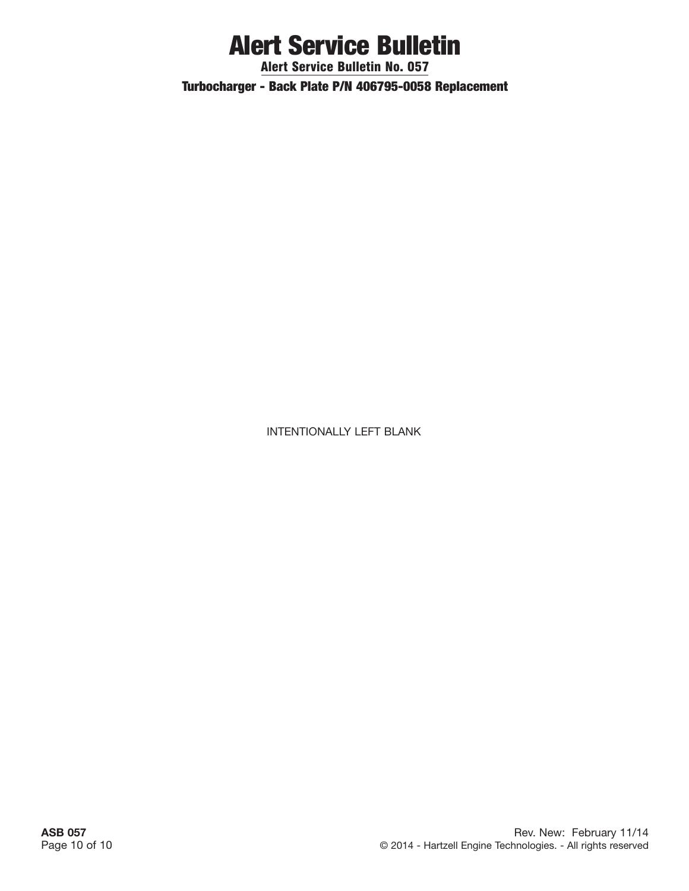Alert Service Bulletin No. 057 Turbocharger - Back Plate P/N 406795-0058 Replacement

INTENTIONALLY LEFT BLANK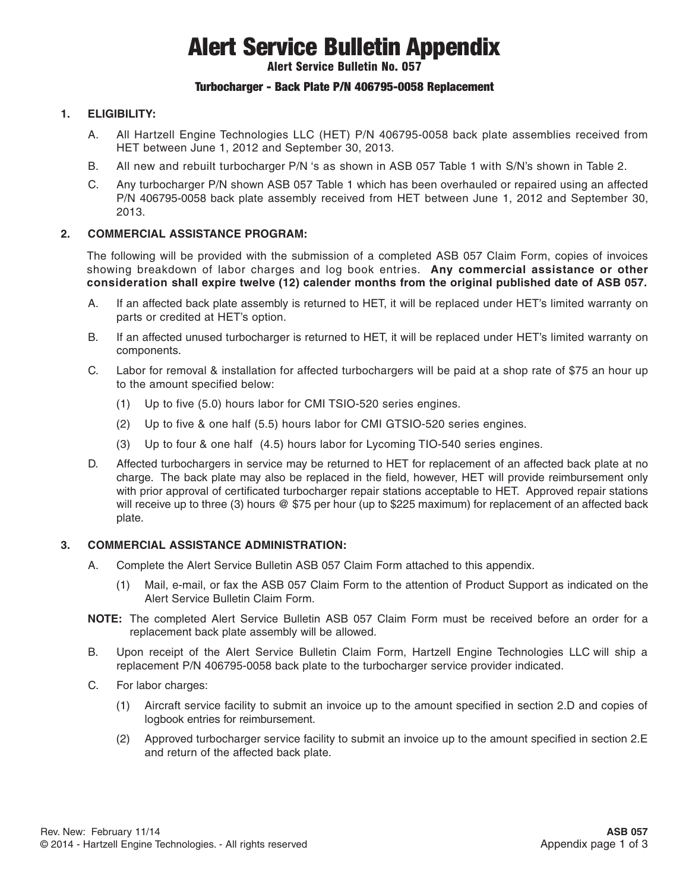## Alert Service Bulletin Appendix

Alert Service Bulletin No. 057

### Turbocharger - Back Plate P/N 406795-0058 Replacement

### **1. ELIGIBILITY:**

- A. All Hartzell Engine Technologies LLC (HET) P/N 406795-0058 back plate assemblies received from HET between June 1, 2012 and September 30, 2013.
- B. All new and rebuilt turbocharger P/N 's as shown in ASB 057 Table 1 with S/N's shown in Table 2.
- C. Any turbocharger P/N shown ASB 057 Table 1 which has been overhauled or repaired using an affected P/N 406795-0058 back plate assembly received from HET between June 1, 2012 and September 30, 2013.

### **2. COMMERCIAL ASSISTANCE PROGRAM:**

The following will be provided with the submission of a completed ASB 057 Claim Form, copies of invoices showing breakdown of labor charges and log book entries. **Any commercial assistance or other consideration shall expire twelve (12) calender months from the original published date of ASB 057.**

- A. If an affected back plate assembly is returned to HET, it will be replaced under HET's limited warranty on parts or credited at HET's option.
- B. If an affected unused turbocharger is returned to HET, it will be replaced under HET's limited warranty on components.
- C. Labor for removal & installation for affected turbochargers will be paid at a shop rate of \$75 an hour up to the amount specified below:
	- (1) Up to five (5.0) hours labor for CMI TSIO-520 series engines.
	- (2) Up to five & one half (5.5) hours labor for CMI GTSIO-520 series engines.
	- (3) Up to four & one half (4.5) hours labor for Lycoming TIO-540 series engines.
- D. Affected turbochargers in service may be returned to HET for replacement of an affected back plate at no charge. The back plate may also be replaced in the field, however, HET will provide reimbursement only with prior approval of certificated turbocharger repair stations acceptable to HET. Approved repair stations will receive up to three (3) hours @ \$75 per hour (up to \$225 maximum) for replacement of an affected back plate.

### **3. COMMERCIAL ASSISTANCE ADMINISTRATION:**

- A. Complete the Alert Service Bulletin ASB 057 Claim Form attached to this appendix.
	- (1) Mail, e-mail, or fax the ASB 057 Claim Form to the attention of Product Support as indicated on the Alert Service Bulletin Claim Form.
- **NOTE:** The completed Alert Service Bulletin ASB 057 Claim Form must be received before an order for a replacement back plate assembly will be allowed.
- B. Upon receipt of the Alert Service Bulletin Claim Form, Hartzell Engine Technologies LLC will ship a replacement P/N 406795-0058 back plate to the turbocharger service provider indicated.
- C. For labor charges:
	- (1) Aircraft service facility to submit an invoice up to the amount specified in section 2.D and copies of logbook entries for reimbursement.
	- (2) Approved turbocharger service facility to submit an invoice up to the amount specified in section 2.E and return of the affected back plate.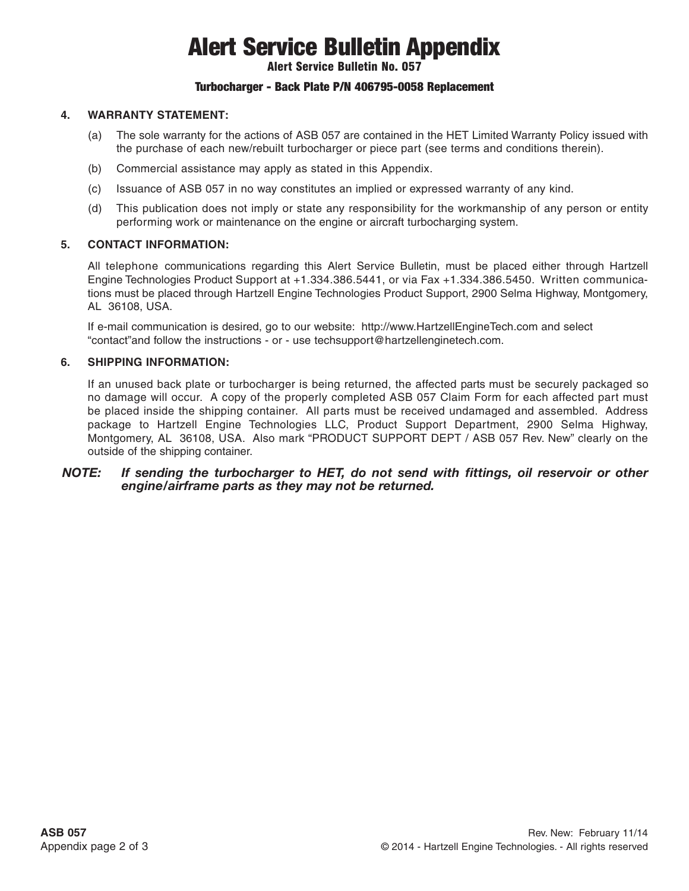## Alert Service Bulletin Appendix

Alert Service Bulletin No. 057

### Turbocharger - Back Plate P/N 406795-0058 Replacement

#### **4. WARRANTY STATEMENT:**

- (a) The sole warranty for the actions of ASB 057 are contained in the HET Limited Warranty Policy issued with the purchase of each new/rebuilt turbocharger or piece part (see terms and conditions therein).
- (b) Commercial assistance may apply as stated in this Appendix.
- (c) Issuance of ASB 057 in no way constitutes an implied or expressed warranty of any kind.
- (d) This publication does not imply or state any responsibility for the workmanship of any person or entity performing work or maintenance on the engine or aircraft turbocharging system.

#### **5. CONTACT INFORMATION:**

All telephone communications regarding this Alert Service Bulletin, must be placed either through Hartzell Engine Technologies Product Support at +1.334.386.5441, or via Fax +1.334.386.5450. Written communications must be placed through Hartzell Engine Technologies Product Support, 2900 Selma Highway, Montgomery, AL 36108, USA.

If e-mail communication is desired, go to our website: http://www.HartzellEngineTech.com and select "contact"and follow the instructions - or - use techsupport@hartzellenginetech.com.

#### **6. SHIPPING INFORMATION:**

If an unused back plate or turbocharger is being returned, the affected parts must be securely packaged so no damage will occur. A copy of the properly completed ASB 057 Claim Form for each affected part must be placed inside the shipping container. All parts must be received undamaged and assembled. Address package to Hartzell Engine Technologies LLC, Product Support Department, 2900 Selma Highway, Montgomery, AL 36108, USA. Also mark "PRODUCT SUPPORT DEPT / ASB 057 Rev. New" clearly on the outside of the shipping container.

### *NOTE: If sending the turbocharger to HET, do not send with fittings, oil reservoir or other engine/airframe parts as they may not be returned.*